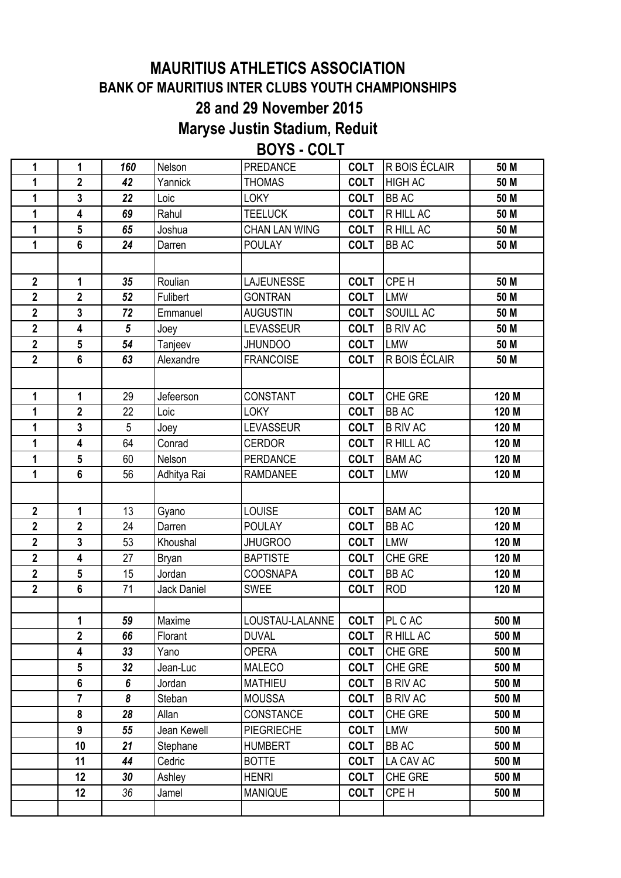## **MAURITIUS ATHLETICS ASSOCIATION BANK OF MAURITIUS INTER CLUBS YOUTH CHAMPIONSHIPS 28 and 29 November 2015**

**Maryse Justin Stadium, Reduit**

**BOYS - COLT**

| 1              | $\mathbf{1}$            | 160             | Nelson      | PREDANCE             | <b>COLT</b> | R BOIS ÉCLAIR   | 50 M  |
|----------------|-------------------------|-----------------|-------------|----------------------|-------------|-----------------|-------|
| 1              | $\overline{2}$          | 42              | Yannick     | <b>THOMAS</b>        | <b>COLT</b> | <b>HIGH AC</b>  | 50 M  |
| 1              | $\mathbf{3}$            | 22              | Loic        | <b>LOKY</b>          | <b>COLT</b> | <b>BB AC</b>    | 50 M  |
| 1              | 4                       | 69              | Rahul       | <b>TEELUCK</b>       | <b>COLT</b> | R HILL AC       | 50 M  |
| 1              | $5\phantom{.0}$         | 65              | Joshua      | <b>CHAN LAN WING</b> | <b>COLT</b> | R HILL AC       | 50 M  |
| 1              | $6\phantom{a}$          | 24              | Darren      | <b>POULAY</b>        | <b>COLT</b> | <b>BB AC</b>    | 50 M  |
|                |                         |                 |             |                      |             |                 |       |
| $\mathbf{2}$   | $\mathbf{1}$            | 35              | Roulian     | <b>LAJEUNESSE</b>    | <b>COLT</b> | CPE H           | 50 M  |
| $\overline{2}$ | $\overline{2}$          | 52              | Fulibert    | <b>GONTRAN</b>       | <b>COLT</b> | <b>LMW</b>      | 50 M  |
| $\overline{2}$ | $\overline{\mathbf{3}}$ | 72              | Emmanuel    | <b>AUGUSTIN</b>      | <b>COLT</b> | SOUILL AC       | 50 M  |
| $\overline{2}$ | $\overline{\mathbf{4}}$ | $5\phantom{.0}$ | Joey        | <b>LEVASSEUR</b>     | <b>COLT</b> | <b>B RIV AC</b> | 50 M  |
| $\overline{2}$ | $5\phantom{.0}$         | 54              | Tanjeev     | <b>JHUNDOO</b>       | <b>COLT</b> | <b>LMW</b>      | 50 M  |
| $\overline{2}$ | $6\phantom{a}$          | 63              | Alexandre   | <b>FRANCOISE</b>     | <b>COLT</b> | R BOIS ÉCLAIR   | 50 M  |
|                |                         |                 |             |                      |             |                 |       |
| 1              | 1                       | 29              | Jefeerson   | <b>CONSTANT</b>      | <b>COLT</b> | CHE GRE         | 120 M |
| 1              | $\overline{2}$          | 22              | Loic        | <b>LOKY</b>          | <b>COLT</b> | <b>BBAC</b>     | 120 M |
| 1              | $\mathbf{3}$            | 5               | Joey        | <b>LEVASSEUR</b>     | <b>COLT</b> | <b>B RIV AC</b> | 120 M |
| 1              | 4                       | 64              | Conrad      | <b>CERDOR</b>        | <b>COLT</b> | R HILL AC       | 120 M |
| 1              | $5\phantom{.0}$         | 60              | Nelson      | <b>PERDANCE</b>      | <b>COLT</b> | <b>BAM AC</b>   | 120 M |
| 1              | $\bf 6$                 | 56              | Adhitya Rai | <b>RAMDANEE</b>      | <b>COLT</b> | <b>LMW</b>      | 120 M |
|                |                         |                 |             |                      |             |                 |       |
| $\overline{2}$ | $\mathbf{1}$            | 13              | Gyano       | <b>LOUISE</b>        | <b>COLT</b> | <b>BAM AC</b>   | 120 M |
| $\overline{2}$ | $\overline{2}$          | 24              | Darren      | <b>POULAY</b>        | <b>COLT</b> | <b>BB AC</b>    | 120 M |
| $\overline{2}$ | $\overline{\mathbf{3}}$ | 53              | Khoushal    | <b>JHUGROO</b>       | <b>COLT</b> | <b>LMW</b>      | 120 M |
| $\overline{2}$ | 4                       | 27              | Bryan       | <b>BAPTISTE</b>      | <b>COLT</b> | CHE GRE         | 120 M |
| $\overline{2}$ | $5\phantom{.0}$         | 15              | Jordan      | <b>COOSNAPA</b>      | <b>COLT</b> | <b>BB AC</b>    | 120 M |
| $\overline{2}$ | $6\phantom{a}$          | 71              | Jack Daniel | <b>SWEE</b>          | <b>COLT</b> | <b>ROD</b>      | 120 M |
|                |                         |                 |             |                      |             |                 |       |
|                | $\mathbf{1}$            | 59              | Maxime      | LOUSTAU-LALANNE      | <b>COLT</b> | PL C AC         | 500 M |
|                | $\mathbf 2$             | 66              | Florant     | <b>DUVAL</b>         | <b>COLT</b> | R HILL AC       | 500 M |
|                | 4                       | 33              | Yano        | <b>OPERA</b>         | <b>COLT</b> | CHE GRE         | 500 M |
|                | $5\phantom{.0}$         | 32              | Jean-Luc    | <b>MALECO</b>        | <b>COLT</b> | CHE GRE         | 500 M |
|                | 6                       | 6               | Jordan      | <b>MATHIEU</b>       | <b>COLT</b> | <b>B RIV AC</b> | 500 M |
|                | $\overline{7}$          | 8               | Steban      | <b>MOUSSA</b>        | <b>COLT</b> | <b>B RIV AC</b> | 500 M |
|                | 8                       | 28              | Allan       | CONSTANCE            | <b>COLT</b> | CHE GRE         | 500 M |
|                | 9                       | 55              | Jean Kewell | <b>PIEGRIECHE</b>    | <b>COLT</b> | <b>LMW</b>      | 500 M |
|                | 10                      | 21              | Stephane    | <b>HUMBERT</b>       | <b>COLT</b> | <b>BB AC</b>    | 500 M |
|                | 11                      | 44              | Cedric      | <b>BOTTE</b>         | <b>COLT</b> | LA CAV AC       | 500 M |
|                | 12                      | 30              | Ashley      | <b>HENRI</b>         | <b>COLT</b> | CHE GRE         | 500 M |
|                | 12                      | 36              | Jamel       | <b>MANIQUE</b>       | <b>COLT</b> | CPE H           | 500 M |
|                |                         |                 |             |                      |             |                 |       |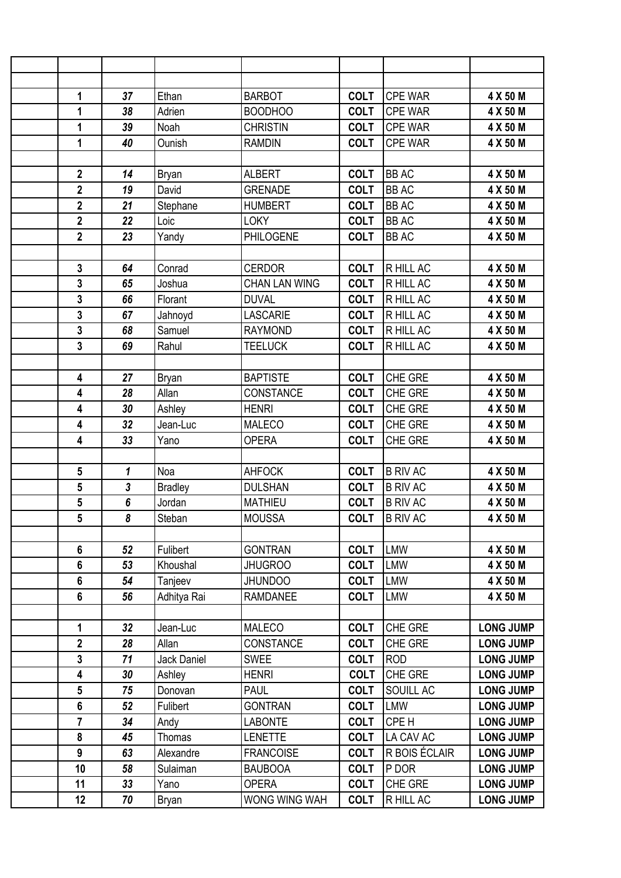| 1               | 37           | Ethan          | <b>BARBOT</b>        | <b>COLT</b> | <b>CPE WAR</b>  | 4 X 50 M         |
|-----------------|--------------|----------------|----------------------|-------------|-----------------|------------------|
| 1               | 38           | Adrien         | <b>BOODHOO</b>       | <b>COLT</b> | <b>CPE WAR</b>  | 4 X 50 M         |
| 1               | 39           | Noah           | <b>CHRISTIN</b>      | <b>COLT</b> | <b>CPE WAR</b>  | 4 X 50 M         |
| 1               | 40           | Ounish         | <b>RAMDIN</b>        | <b>COLT</b> | <b>CPE WAR</b>  | 4 X 50 M         |
|                 |              |                |                      |             |                 |                  |
| $\mathbf 2$     | 14           | <b>Bryan</b>   | <b>ALBERT</b>        | <b>COLT</b> | <b>BB AC</b>    | 4 X 50 M         |
| $\mathbf{2}$    | 19           | David          | <b>GRENADE</b>       | <b>COLT</b> | <b>BB AC</b>    | 4 X 50 M         |
| $\mathbf 2$     | 21           | Stephane       | <b>HUMBERT</b>       | <b>COLT</b> | <b>BBAC</b>     | 4 X 50 M         |
| $\mathbf{2}$    | 22           | Loic           | <b>LOKY</b>          | <b>COLT</b> | <b>BB AC</b>    | 4 X 50 M         |
| $\mathbf{2}$    | 23           | Yandy          | PHILOGENE            | <b>COLT</b> | <b>BB AC</b>    | 4 X 50 M         |
|                 |              |                |                      |             |                 |                  |
| $\mathbf 3$     | 64           | Conrad         | <b>CERDOR</b>        | <b>COLT</b> | R HILL AC       | 4 X 50 M         |
| 3               | 65           | Joshua         | <b>CHAN LAN WING</b> | <b>COLT</b> | R HILL AC       | 4 X 50 M         |
| $\mathbf 3$     | 66           | Florant        | <b>DUVAL</b>         | <b>COLT</b> | R HILL AC       | 4 X 50 M         |
| $\mathbf{3}$    | 67           | Jahnoyd        | <b>LASCARIE</b>      | <b>COLT</b> | R HILL AC       | 4 X 50 M         |
| $\mathbf 3$     | 68           | Samuel         | <b>RAYMOND</b>       | <b>COLT</b> | R HILL AC       | 4 X 50 M         |
| $\mathbf{3}$    | 69           | Rahul          | <b>TEELUCK</b>       | <b>COLT</b> | R HILL AC       | 4 X 50 M         |
|                 |              |                |                      |             |                 |                  |
| 4               | 27           | <b>Bryan</b>   | <b>BAPTISTE</b>      | <b>COLT</b> | CHE GRE         | 4 X 50 M         |
| 4               | 28           | Allan          | CONSTANCE            | <b>COLT</b> | CHE GRE         | 4 X 50 M         |
| 4               | 30           | Ashley         | <b>HENRI</b>         | <b>COLT</b> | CHE GRE         | 4 X 50 M         |
| 4               | 32           | Jean-Luc       | <b>MALECO</b>        | <b>COLT</b> | CHE GRE         | 4 X 50 M         |
| 4               | 33           | Yano           | <b>OPERA</b>         | <b>COLT</b> | CHE GRE         | 4 X 50 M         |
|                 |              |                |                      |             |                 |                  |
| $5\phantom{.0}$ | $\mathbf{1}$ | Noa            | <b>AHFOCK</b>        | <b>COLT</b> | <b>B RIV AC</b> | 4 X 50 M         |
| $5\phantom{.0}$ | $\mathbf{3}$ | <b>Bradley</b> | <b>DULSHAN</b>       | <b>COLT</b> | <b>B RIV AC</b> | 4 X 50 M         |
| $5\phantom{.0}$ | 6            | Jordan         | <b>MATHIEU</b>       | <b>COLT</b> | <b>B RIV AC</b> | 4 X 50 M         |
| 5               | 8            | Steban         | <b>MOUSSA</b>        | <b>COLT</b> | <b>B RIV AC</b> | 4 X 50 M         |
|                 |              |                |                      |             |                 |                  |
| 6               | 52           | Fulibert       | <b>GONTRAN</b>       | <b>COLT</b> | <b>LMW</b>      | 4 X 50 M         |
| 6               | 53           | Khoushal       | <b>JHUGROO</b>       | <b>COLT</b> | <b>LMW</b>      | 4 X 50 M         |
| 6               | 54           | Tanjeev        | <b>JHUNDOO</b>       | <b>COLT</b> | <b>LMW</b>      | 4 X 50 M         |
| 6               | 56           | Adhitya Rai    | <b>RAMDANEE</b>      | <b>COLT</b> | LMW             | 4 X 50 M         |
|                 |              |                |                      |             |                 |                  |
| 1               | 32           | Jean-Luc       | <b>MALECO</b>        | <b>COLT</b> | CHE GRE         | <b>LONG JUMP</b> |
| $\mathbf 2$     | 28           | Allan          | CONSTANCE            | <b>COLT</b> | CHE GRE         | <b>LONG JUMP</b> |
| $\mathbf{3}$    | 71           | Jack Daniel    | <b>SWEE</b>          | <b>COLT</b> | <b>ROD</b>      | <b>LONG JUMP</b> |
| 4               | 30           | Ashley         | <b>HENRI</b>         | <b>COLT</b> | CHE GRE         | <b>LONG JUMP</b> |
| $5\phantom{.0}$ | 75           | Donovan        | <b>PAUL</b>          | <b>COLT</b> | SOUILL AC       | <b>LONG JUMP</b> |
| 6               | 52           | Fulibert       | <b>GONTRAN</b>       | <b>COLT</b> | <b>LMW</b>      | <b>LONG JUMP</b> |
| $\overline{7}$  | 34           | Andy           | <b>LABONTE</b>       | <b>COLT</b> | CPE H           | <b>LONG JUMP</b> |
| 8               | 45           | Thomas         | <b>LENETTE</b>       | <b>COLT</b> | LA CAV AC       | <b>LONG JUMP</b> |
| 9               | 63           | Alexandre      | <b>FRANCOISE</b>     | <b>COLT</b> | R BOIS ÉCLAIR   | <b>LONG JUMP</b> |
| 10              | 58           | Sulaiman       | <b>BAUBOOA</b>       | <b>COLT</b> | P DOR           | <b>LONG JUMP</b> |
| 11              | 33           | Yano           | <b>OPERA</b>         | <b>COLT</b> | CHE GRE         | <b>LONG JUMP</b> |
| 12              | 70           | Bryan          | WONG WING WAH        | <b>COLT</b> | R HILL AC       | <b>LONG JUMP</b> |
|                 |              |                |                      |             |                 |                  |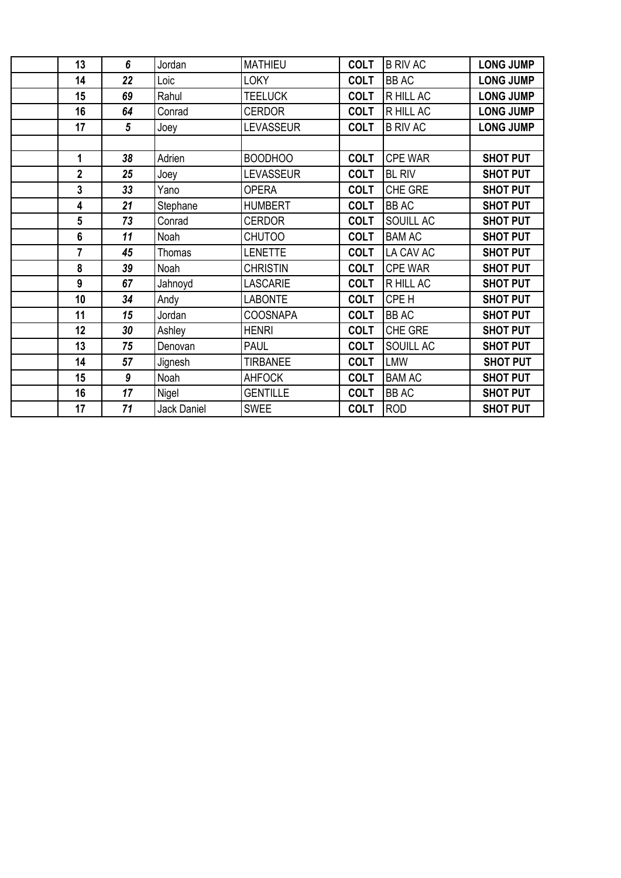| 13                      | 6               | Jordan      | <b>MATHIEU</b>   | <b>COLT</b> | <b>B RIV AC</b> | <b>LONG JUMP</b> |
|-------------------------|-----------------|-------------|------------------|-------------|-----------------|------------------|
| 14                      | 22              | Loic        | <b>LOKY</b>      | <b>COLT</b> | <b>BB AC</b>    | <b>LONG JUMP</b> |
| 15                      | 69              | Rahul       | <b>TEELUCK</b>   | <b>COLT</b> | R HILL AC       | <b>LONG JUMP</b> |
| 16                      | 64              | Conrad      | <b>CERDOR</b>    | <b>COLT</b> | R HILL AC       | <b>LONG JUMP</b> |
| 17                      | $5\phantom{.0}$ | Joey        | LEVASSEUR        | <b>COLT</b> | <b>B RIV AC</b> | <b>LONG JUMP</b> |
|                         |                 |             |                  |             |                 |                  |
| 1                       | 38              | Adrien      | <b>BOODHOO</b>   | <b>COLT</b> | <b>CPE WAR</b>  | <b>SHOT PUT</b>  |
| $\overline{\mathbf{2}}$ | 25              | Joey        | <b>LEVASSEUR</b> | <b>COLT</b> | <b>BL RIV</b>   | <b>SHOT PUT</b>  |
| $\mathbf{3}$            | 33              | Yano        | <b>OPERA</b>     | <b>COLT</b> | CHE GRE         | <b>SHOT PUT</b>  |
| 4                       | 21              | Stephane    | <b>HUMBERT</b>   | <b>COLT</b> | <b>BB AC</b>    | <b>SHOT PUT</b>  |
| 5                       | 73              | Conrad      | <b>CERDOR</b>    | <b>COLT</b> | SOUILL AC       | <b>SHOT PUT</b>  |
| $6\phantom{1}$          | 11              | Noah        | <b>CHUTOO</b>    | <b>COLT</b> | <b>BAM AC</b>   | <b>SHOT PUT</b>  |
| $\overline{7}$          | 45              | Thomas      | <b>LENETTE</b>   | <b>COLT</b> | LA CAV AC       | <b>SHOT PUT</b>  |
| 8                       | 39              | Noah        | <b>CHRISTIN</b>  | <b>COLT</b> | <b>CPE WAR</b>  | <b>SHOT PUT</b>  |
| 9                       | 67              | Jahnoyd     | <b>LASCARIE</b>  | <b>COLT</b> | R HILL AC       | <b>SHOT PUT</b>  |
| 10                      | 34              | Andy        | <b>LABONTE</b>   | <b>COLT</b> | CPE H           | <b>SHOT PUT</b>  |
| 11                      | 15              | Jordan      | <b>COOSNAPA</b>  | <b>COLT</b> | <b>BB AC</b>    | <b>SHOT PUT</b>  |
| 12                      | 30              | Ashley      | <b>HENRI</b>     | <b>COLT</b> | CHE GRE         | <b>SHOT PUT</b>  |
| 13                      | 75              | Denovan     | <b>PAUL</b>      | <b>COLT</b> | SOUILL AC       | <b>SHOT PUT</b>  |
| 14                      | 57              | Jignesh     | <b>TIRBANEE</b>  | <b>COLT</b> | <b>LMW</b>      | <b>SHOT PUT</b>  |
| 15                      | 9               | Noah        | <b>AHFOCK</b>    | <b>COLT</b> | <b>BAM AC</b>   | <b>SHOT PUT</b>  |
| 16                      | 17              | Nigel       | <b>GENTILLE</b>  | <b>COLT</b> | <b>BB AC</b>    | <b>SHOT PUT</b>  |
| 17                      | 71              | Jack Daniel | <b>SWEE</b>      | <b>COLT</b> | <b>ROD</b>      | <b>SHOT PUT</b>  |
|                         |                 |             |                  |             |                 |                  |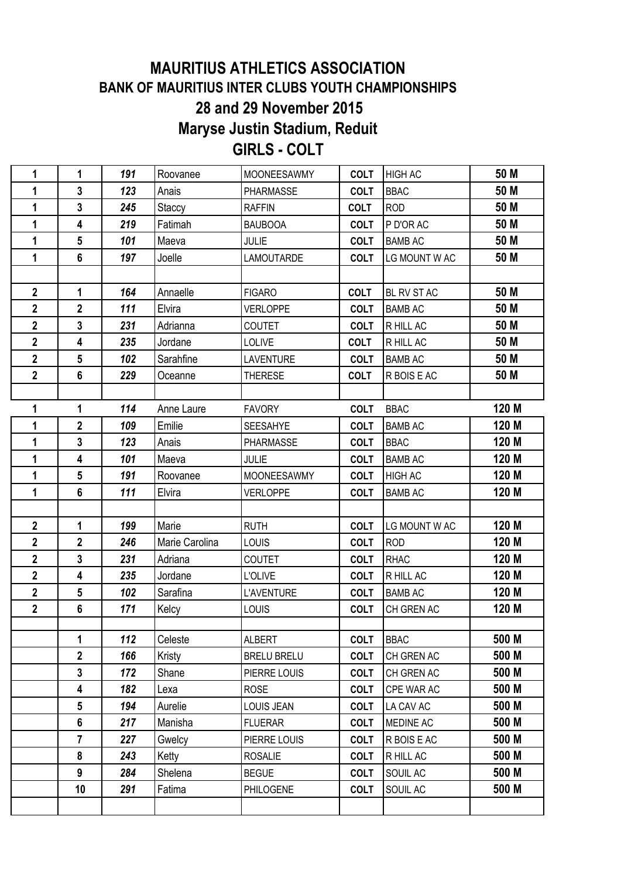## **GIRLS - COLT MAURITIUS ATHLETICS ASSOCIATION BANK OF MAURITIUS INTER CLUBS YOUTH CHAMPIONSHIPS 28 and 29 November 2015 Maryse Justin Stadium, Reduit**

| 1              | 1               | 191 | Roovanee       | MOONEESAWMY        | <b>COLT</b> | <b>HIGH AC</b> | 50 M  |
|----------------|-----------------|-----|----------------|--------------------|-------------|----------------|-------|
| 1              | $\mathbf{3}$    | 123 | Anais          | PHARMASSE          | <b>COLT</b> | <b>BBAC</b>    | 50 M  |
| 1              | $\overline{3}$  | 245 | Staccy         | <b>RAFFIN</b>      | <b>COLT</b> | <b>ROD</b>     | 50 M  |
| 1              | 4               | 219 | Fatimah        | <b>BAUBOOA</b>     | <b>COLT</b> | P D'OR AC      | 50 M  |
| 1              | $5\phantom{.0}$ | 101 | Maeva          | <b>JULIE</b>       | <b>COLT</b> | <b>BAMB AC</b> | 50 M  |
| 1              | $6\phantom{a}$  | 197 | Joelle         | <b>LAMOUTARDE</b>  | <b>COLT</b> | LG MOUNT W AC  | 50 M  |
|                |                 |     |                |                    |             |                |       |
| $\mathbf{2}$   | $\mathbf{1}$    | 164 | Annaelle       | <b>FIGARO</b>      | <b>COLT</b> | BL RV ST AC    | 50 M  |
| $\mathbf{2}$   | $\overline{2}$  | 111 | Elvira         | <b>VERLOPPE</b>    | <b>COLT</b> | <b>BAMB AC</b> | 50 M  |
| $\mathbf{2}$   | $\mathbf{3}$    | 231 | Adrianna       | COUTET             | <b>COLT</b> | R HILL AC      | 50 M  |
| $\mathbf{2}$   | 4               | 235 | Jordane        | <b>LOLIVE</b>      | <b>COLT</b> | R HILL AC      | 50 M  |
| $\mathbf{2}$   | $5\overline{)}$ | 102 | Sarahfine      | <b>LAVENTURE</b>   | <b>COLT</b> | <b>BAMB AC</b> | 50 M  |
| $\overline{2}$ | $6\phantom{a}$  | 229 | Oceanne        | <b>THERESE</b>     | <b>COLT</b> | R BOIS E AC    | 50 M  |
|                |                 |     |                |                    |             |                |       |
| 1              | $\mathbf 1$     | 114 | Anne Laure     | <b>FAVORY</b>      | <b>COLT</b> | <b>BBAC</b>    | 120 M |
| 1              | $\overline{2}$  | 109 | Emilie         | SEESAHYE           | <b>COLT</b> | <b>BAMB AC</b> | 120 M |
| 1              | $\mathbf{3}$    | 123 | Anais          | PHARMASSE          | <b>COLT</b> | <b>BBAC</b>    | 120 M |
| 1              | 4               | 101 | Maeva          | <b>JULIE</b>       | <b>COLT</b> | <b>BAMB AC</b> | 120 M |
| 1              | $5\phantom{.0}$ | 191 | Roovanee       | <b>MOONEESAWMY</b> | <b>COLT</b> | <b>HIGH AC</b> | 120 M |
| 1              | $6\phantom{a}$  | 111 | Elvira         | <b>VERLOPPE</b>    | <b>COLT</b> | <b>BAMB AC</b> | 120 M |
|                |                 |     |                |                    |             |                |       |
| $\overline{2}$ | 1               | 199 | Marie          | <b>RUTH</b>        | <b>COLT</b> | LG MOUNT W AC  | 120 M |
| $\mathbf{2}$   | $\mathbf{2}$    | 246 | Marie Carolina | <b>LOUIS</b>       | <b>COLT</b> | <b>ROD</b>     | 120 M |
| $\mathbf{2}$   | $\mathbf{3}$    | 231 | Adriana        | COUTET             | <b>COLT</b> | <b>RHAC</b>    | 120 M |
| $\mathbf{2}$   | 4               | 235 | Jordane        | L'OLIVE            | <b>COLT</b> | R HILL AC      | 120 M |
| $\mathbf{2}$   | $5\phantom{.0}$ | 102 | Sarafina       | <b>L'AVENTURE</b>  | <b>COLT</b> | <b>BAMB AC</b> | 120 M |
| $\overline{2}$ | $6\phantom{a}$  | 171 | Kelcy          | <b>LOUIS</b>       | <b>COLT</b> | CH GREN AC     | 120 M |
|                |                 |     |                |                    |             |                |       |
|                | 1               | 112 | Celeste        | <b>ALBERT</b>      | <b>COLT</b> | <b>BBAC</b>    | 500 M |
|                | $\overline{2}$  | 166 | Kristy         | <b>BRELU BRELU</b> | <b>COLT</b> | CH GREN AC     | 500 M |
|                | $\mathbf{3}$    | 172 | Shane          | PIERRE LOUIS       | <b>COLT</b> | CH GREN AC     | 500 M |
|                | 4               | 182 | Lexa           | <b>ROSE</b>        | <b>COLT</b> | CPE WAR AC     | 500 M |
|                | $5\phantom{.0}$ | 194 | Aurelie        | LOUIS JEAN         | <b>COLT</b> | LA CAV AC      | 500 M |
|                | 6               | 217 | Manisha        | <b>FLUERAR</b>     | <b>COLT</b> | MEDINE AC      | 500 M |
|                | $\overline{7}$  | 227 | Gwelcy         | PIERRE LOUIS       | <b>COLT</b> | R BOIS E AC    | 500 M |
|                | 8               | 243 | Ketty          | <b>ROSALIE</b>     | <b>COLT</b> | R HILL AC      | 500 M |
|                | 9               | 284 | Shelena        | <b>BEGUE</b>       | <b>COLT</b> | SOUIL AC       | 500 M |
|                | 10              | 291 | Fatima         | PHILOGENE          | <b>COLT</b> | SOUIL AC       | 500 M |
|                |                 |     |                |                    |             |                |       |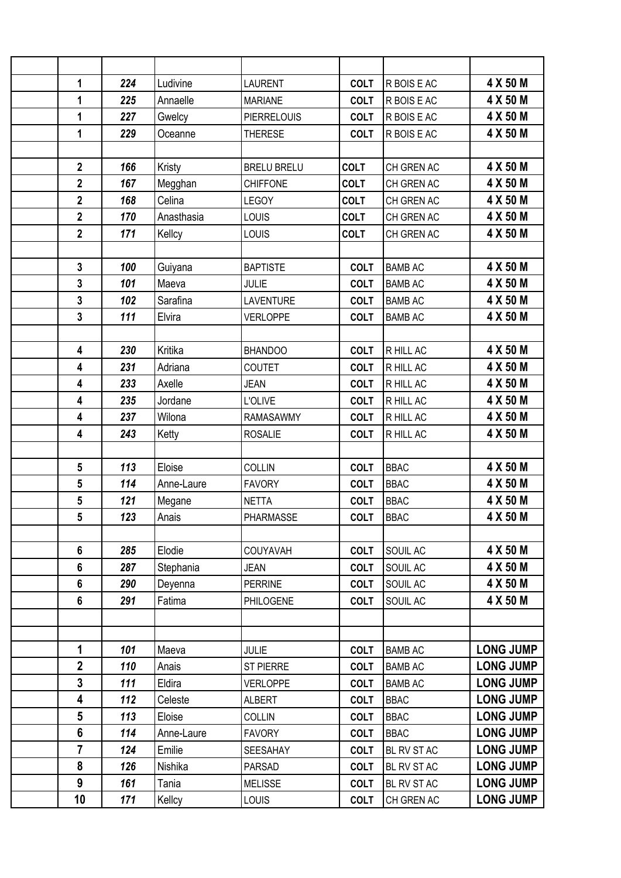| 1                       | 224 | Ludivine   | <b>LAURENT</b>     | <b>COLT</b> | R BOIS E AC    | 4 X 50 M         |
|-------------------------|-----|------------|--------------------|-------------|----------------|------------------|
| 1                       | 225 | Annaelle   | <b>MARIANE</b>     | <b>COLT</b> | R BOIS E AC    | 4 X 50 M         |
| 1                       | 227 | Gwelcy     | <b>PIERRELOUIS</b> | <b>COLT</b> | R BOIS E AC    | 4 X 50 M         |
| 1                       | 229 | Oceanne    | <b>THERESE</b>     | <b>COLT</b> | R BOIS E AC    | 4 X 50 M         |
|                         |     |            |                    |             |                |                  |
| $\overline{2}$          | 166 | Kristy     | <b>BRELU BRELU</b> | <b>COLT</b> | CH GREN AC     | 4 X 50 M         |
| $\mathbf 2$             | 167 | Megghan    | <b>CHIFFONE</b>    | <b>COLT</b> | CH GREN AC     | 4 X 50 M         |
| 2                       | 168 | Celina     | <b>LEGOY</b>       | <b>COLT</b> | CH GREN AC     | 4 X 50 M         |
| $\overline{2}$          | 170 | Anasthasia | LOUIS              | <b>COLT</b> | CH GREN AC     | 4 X 50 M         |
| $\overline{2}$          | 171 | Kellcy     | <b>LOUIS</b>       | <b>COLT</b> | CH GREN AC     | 4 X 50 M         |
|                         |     |            |                    |             |                |                  |
| $\overline{\mathbf{3}}$ | 100 | Guiyana    | <b>BAPTISTE</b>    | <b>COLT</b> | <b>BAMB AC</b> | 4 X 50 M         |
| 3                       | 101 | Maeva      | <b>JULIE</b>       | <b>COLT</b> | <b>BAMB AC</b> | 4 X 50 M         |
| 3                       | 102 | Sarafina   | <b>LAVENTURE</b>   | <b>COLT</b> | <b>BAMB AC</b> | 4 X 50 M         |
| $\overline{\mathbf{3}}$ | 111 | Elvira     | <b>VERLOPPE</b>    | <b>COLT</b> | <b>BAMB AC</b> | 4 X 50 M         |
|                         |     |            |                    |             |                |                  |
| 4                       | 230 | Kritika    | <b>BHANDOO</b>     | <b>COLT</b> | R HILL AC      | 4 X 50 M         |
| 4                       | 231 | Adriana    | COUTET             | <b>COLT</b> | R HILL AC      | 4 X 50 M         |
| 4                       | 233 | Axelle     | <b>JEAN</b>        | <b>COLT</b> | R HILL AC      | 4 X 50 M         |
| 4                       | 235 | Jordane    | L'OLIVE            | <b>COLT</b> | R HILL AC      | 4 X 50 M         |
| 4                       | 237 | Wilona     | <b>RAMASAWMY</b>   | <b>COLT</b> | R HILL AC      | 4 X 50 M         |
| 4                       | 243 | Ketty      | <b>ROSALIE</b>     | <b>COLT</b> | R HILL AC      | 4 X 50 M         |
|                         |     |            |                    |             |                |                  |
| $5\phantom{1}$          | 113 | Eloise     | <b>COLLIN</b>      | <b>COLT</b> | <b>BBAC</b>    | 4 X 50 M         |
| 5                       | 114 | Anne-Laure | <b>FAVORY</b>      | <b>COLT</b> | <b>BBAC</b>    | 4 X 50 M         |
| 5                       | 121 | Megane     | <b>NETTA</b>       | <b>COLT</b> | <b>BBAC</b>    | 4 X 50 M         |
| 5                       | 123 | Anais      | <b>PHARMASSE</b>   | <b>COLT</b> | <b>BBAC</b>    | 4 X 50 M         |
|                         |     |            |                    |             |                |                  |
| 6                       | 285 | Elodie     | COUYAVAH           | <b>COLT</b> | SOUIL AC       | 4 X 50 M         |
| 6                       | 287 | Stephania  | <b>JEAN</b>        | <b>COLT</b> | SOUIL AC       | 4 X 50 M         |
| 6                       | 290 | Deyenna    | <b>PERRINE</b>     | <b>COLT</b> | SOUIL AC       | 4 X 50 M         |
| 6                       | 291 | Fatima     | PHILOGENE          | <b>COLT</b> | SOUIL AC       | 4 X 50 M         |
|                         |     |            |                    |             |                |                  |
|                         |     |            |                    |             |                |                  |
| 1                       | 101 | Maeva      | <b>JULIE</b>       | <b>COLT</b> | <b>BAMB AC</b> | <b>LONG JUMP</b> |
| $\overline{\mathbf{2}}$ | 110 | Anais      | <b>ST PIERRE</b>   | <b>COLT</b> | <b>BAMB AC</b> | <b>LONG JUMP</b> |
| 3                       | 111 | Eldira     | <b>VERLOPPE</b>    | <b>COLT</b> | <b>BAMB AC</b> | <b>LONG JUMP</b> |
| 4                       | 112 | Celeste    | <b>ALBERT</b>      | <b>COLT</b> | <b>BBAC</b>    | <b>LONG JUMP</b> |
| 5                       | 113 | Eloise     | <b>COLLIN</b>      | <b>COLT</b> | <b>BBAC</b>    | <b>LONG JUMP</b> |
| $6\phantom{a}$          | 114 | Anne-Laure | <b>FAVORY</b>      | <b>COLT</b> | <b>BBAC</b>    | <b>LONG JUMP</b> |
| 7                       | 124 | Emilie     | <b>SEESAHAY</b>    | <b>COLT</b> | BL RV ST AC    | <b>LONG JUMP</b> |
| 8                       | 126 | Nishika    | <b>PARSAD</b>      | <b>COLT</b> | BL RV ST AC    | <b>LONG JUMP</b> |
| 9                       | 161 | Tania      | <b>MELISSE</b>     | <b>COLT</b> | BL RV ST AC    | <b>LONG JUMP</b> |
| 10                      | 171 | Kellcy     | <b>LOUIS</b>       | <b>COLT</b> | CH GREN AC     | <b>LONG JUMP</b> |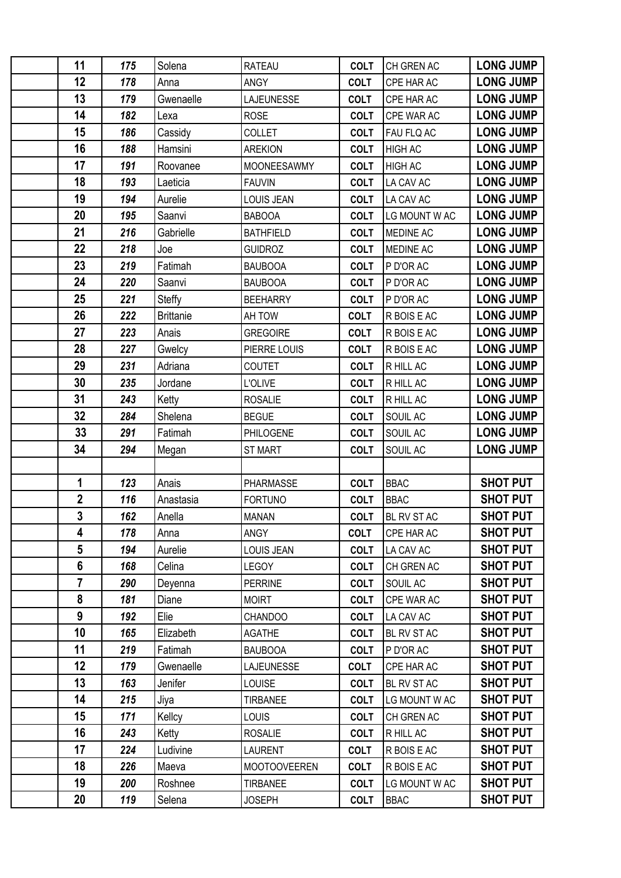| 11             | 175 | Solena           | <b>RATEAU</b>       | <b>COLT</b> | CH GREN AC       | <b>LONG JUMP</b> |
|----------------|-----|------------------|---------------------|-------------|------------------|------------------|
| 12             | 178 | Anna             | <b>ANGY</b>         | <b>COLT</b> | CPE HAR AC       | <b>LONG JUMP</b> |
| 13             | 179 | Gwenaelle        | LAJEUNESSE          | <b>COLT</b> | CPE HAR AC       | <b>LONG JUMP</b> |
| 14             | 182 | Lexa             | <b>ROSE</b>         | <b>COLT</b> | CPE WAR AC       | <b>LONG JUMP</b> |
| 15             | 186 | Cassidy          | <b>COLLET</b>       | <b>COLT</b> | FAU FLQ AC       | <b>LONG JUMP</b> |
| 16             | 188 | Hamsini          | <b>AREKION</b>      | <b>COLT</b> | <b>HIGH AC</b>   | <b>LONG JUMP</b> |
| 17             | 191 | Roovanee         | MOONEESAWMY         | <b>COLT</b> | <b>HIGH AC</b>   | <b>LONG JUMP</b> |
| 18             | 193 | Laeticia         | <b>FAUVIN</b>       | <b>COLT</b> | LA CAV AC        | <b>LONG JUMP</b> |
| 19             | 194 | Aurelie          | LOUIS JEAN          | <b>COLT</b> | LA CAV AC        | <b>LONG JUMP</b> |
| 20             | 195 | Saanvi           | <b>BABOOA</b>       | <b>COLT</b> | LG MOUNT W AC    | <b>LONG JUMP</b> |
| 21             | 216 | Gabrielle        | <b>BATHFIELD</b>    | <b>COLT</b> | MEDINE AC        | <b>LONG JUMP</b> |
| 22             | 218 | Joe              | <b>GUIDROZ</b>      | <b>COLT</b> | <b>MEDINE AC</b> | <b>LONG JUMP</b> |
| 23             | 219 | Fatimah          | <b>BAUBOOA</b>      | <b>COLT</b> | P D'OR AC        | <b>LONG JUMP</b> |
| 24             | 220 | Saanvi           | <b>BAUBOOA</b>      | <b>COLT</b> | P D'OR AC        | <b>LONG JUMP</b> |
| 25             | 221 | <b>Steffy</b>    | <b>BEEHARRY</b>     | <b>COLT</b> | P D'OR AC        | <b>LONG JUMP</b> |
| 26             | 222 | <b>Brittanie</b> | AH TOW              | <b>COLT</b> | R BOIS E AC      | <b>LONG JUMP</b> |
| 27             | 223 | Anais            | <b>GREGOIRE</b>     | <b>COLT</b> | R BOIS E AC      | <b>LONG JUMP</b> |
| 28             | 227 | Gwelcy           | PIERRE LOUIS        | <b>COLT</b> | R BOIS E AC      | <b>LONG JUMP</b> |
| 29             | 231 | Adriana          | COUTET              | <b>COLT</b> | R HILL AC        | <b>LONG JUMP</b> |
| 30             | 235 | Jordane          | L'OLIVE             | <b>COLT</b> | R HILL AC        | <b>LONG JUMP</b> |
| 31             | 243 | Ketty            | <b>ROSALIE</b>      | <b>COLT</b> | R HILL AC        | <b>LONG JUMP</b> |
| 32             | 284 | Shelena          | <b>BEGUE</b>        | <b>COLT</b> | SOUIL AC         | <b>LONG JUMP</b> |
| 33             | 291 | Fatimah          | PHILOGENE           | <b>COLT</b> | SOUIL AC         | <b>LONG JUMP</b> |
| 34             | 294 | Megan            | <b>ST MART</b>      | <b>COLT</b> | SOUIL AC         | <b>LONG JUMP</b> |
|                |     |                  |                     |             |                  |                  |
| 1              | 123 | Anais            | PHARMASSE           | <b>COLT</b> | <b>BBAC</b>      | <b>SHOT PUT</b>  |
| $\mathbf 2$    | 116 | Anastasia        | <b>FORTUNO</b>      | <b>COLT</b> | <b>BBAC</b>      | <b>SHOT PUT</b>  |
| 3              | 162 | Anella           | <b>MANAN</b>        | <b>COLT</b> | BL RV ST AC      | <b>SHOT PUT</b>  |
| 4              | 178 | Anna             | ANGY                | <b>COLT</b> | CPE HAR AC       | <b>SHOT PUT</b>  |
| 5              | 194 | Aurelie          | LOUIS JEAN          | <b>COLT</b> | LA CAV AC        | <b>SHOT PUT</b>  |
| $6\phantom{a}$ | 168 | Celina           | <b>LEGOY</b>        | <b>COLT</b> | CH GREN AC       | <b>SHOT PUT</b>  |
| $\overline{7}$ | 290 | Deyenna          | <b>PERRINE</b>      | <b>COLT</b> | SOUIL AC         | <b>SHOT PUT</b>  |
| 8              | 181 | Diane            | <b>MOIRT</b>        | <b>COLT</b> | CPE WAR AC       | <b>SHOT PUT</b>  |
| 9              | 192 | Elie             | <b>CHANDOO</b>      | <b>COLT</b> | LA CAV AC        | <b>SHOT PUT</b>  |
| 10             | 165 | Elizabeth        | <b>AGATHE</b>       | <b>COLT</b> | BL RV ST AC      | <b>SHOT PUT</b>  |
| 11             | 219 | Fatimah          | <b>BAUBOOA</b>      | <b>COLT</b> | P D'OR AC        | <b>SHOT PUT</b>  |
| 12             | 179 | Gwenaelle        | <b>LAJEUNESSE</b>   | <b>COLT</b> | CPE HAR AC       | <b>SHOT PUT</b>  |
| 13             | 163 | Jenifer          | <b>LOUISE</b>       | <b>COLT</b> | BL RV ST AC      | <b>SHOT PUT</b>  |
| 14             | 215 | Jiya             | <b>TIRBANEE</b>     | <b>COLT</b> | LG MOUNT W AC    | <b>SHOT PUT</b>  |
| 15             | 171 | Kellcy           | <b>LOUIS</b>        | <b>COLT</b> | CH GREN AC       | <b>SHOT PUT</b>  |
| 16             | 243 | Ketty            | <b>ROSALIE</b>      | <b>COLT</b> | R HILL AC        | <b>SHOT PUT</b>  |
| 17             | 224 | Ludivine         | <b>LAURENT</b>      | <b>COLT</b> | R BOIS E AC      | <b>SHOT PUT</b>  |
| 18             | 226 | Maeva            | <b>MOOTOOVEEREN</b> | <b>COLT</b> | R BOIS E AC      | <b>SHOT PUT</b>  |
| 19             | 200 | Roshnee          | <b>TIRBANEE</b>     | <b>COLT</b> | LG MOUNT W AC    | <b>SHOT PUT</b>  |
| 20             | 119 | Selena           | <b>JOSEPH</b>       | <b>COLT</b> | <b>BBAC</b>      | <b>SHOT PUT</b>  |